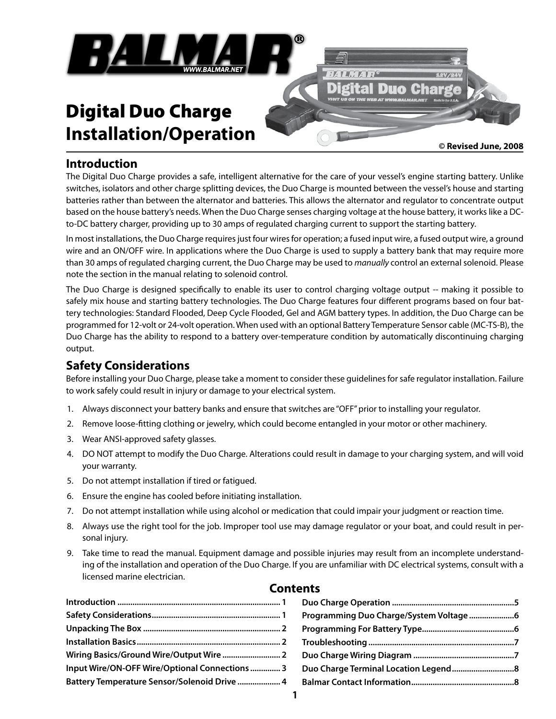

# **Installation/Operation**

**© Revised June, 2008**

## **Introduction**

The Digital Duo Charge provides a safe, intelligent alternative for the care of your vessel's engine starting battery. Unlike switches, isolators and other charge splitting devices, the Duo Charge is mounted between the vessel's house and starting batteries rather than between the alternator and batteries. This allows the alternator and regulator to concentrate output based on the house battery's needs. When the Duo Charge senses charging voltage at the house battery, it works like a DCto-DC battery charger, providing up to 30 amps of regulated charging current to support the starting battery.

In most installations, the Duo Charge requires just four wires for operation; a fused input wire, a fused output wire, a ground wire and an ON/OFF wire. In applications where the Duo Charge is used to supply a battery bank that may require more than 30 amps of regulated charging current, the Duo Charge may be used to *manually* control an external solenoid. Please note the section in the manual relating to solenoid control.

The Duo Charge is designed specifically to enable its user to control charging voltage output -- making it possible to safely mix house and starting battery technologies. The Duo Charge features four different programs based on four battery technologies: Standard Flooded, Deep Cycle Flooded, Gel and AGM battery types. In addition, the Duo Charge can be programmed for 12-volt or 24-volt operation. When used with an optional Battery Temperature Sensor cable (MC-TS-B), the Duo Charge has the ability to respond to a battery over-temperature condition by automatically discontinuing charging output.

# **Safety Considerations**

Before installing your Duo Charge, please take a moment to consider these guidelines for safe regulator installation. Failure to work safely could result in injury or damage to your electrical system.

- 1. Always disconnect your battery banks and ensure that switches are "OFF" prior to installing your regulator.
- 2. Remove loose-fitting clothing or jewelry, which could become entangled in your motor or other machinery.
- 3. Wear ANSI-approved safety glasses.
- 4. DO NOT attempt to modify the Duo Charge. Alterations could result in damage to your charging system, and will void your warranty.
- 5. Do not attempt installation if tired or fatigued.
- 6. Ensure the engine has cooled before initiating installation.
- 7. Do not attempt installation while using alcohol or medication that could impair your judgment or reaction time.
- 8. Always use the right tool for the job. Improper tool use may damage regulator or your boat, and could result in personal injury.
- 9. Take time to read the manual. Equipment damage and possible injuries may result from an incomplete understanding of the installation and operation of the Duo Charge. If you are unfamiliar with DC electrical systems, consult with a licensed marine electrician.

### **Contents**

| Input Wire/ON-OFF Wire/Optional Connections  3 |  |
|------------------------------------------------|--|
|                                                |  |
|                                                |  |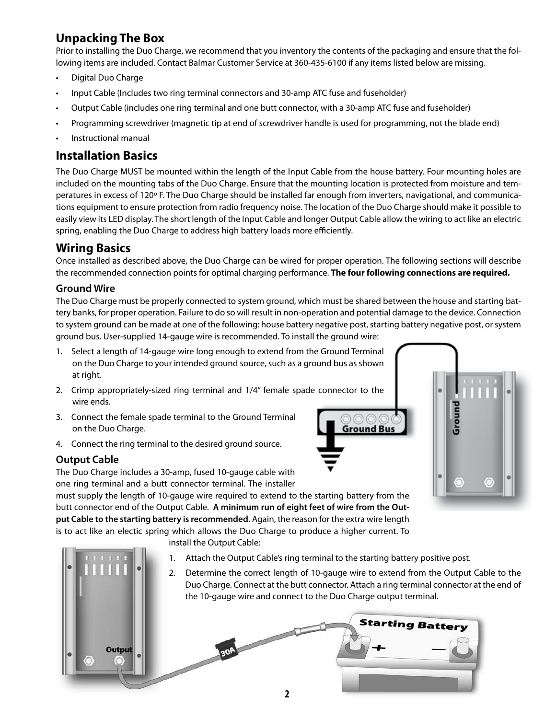# **Unpacking The Box**

Prior to installing the Duo Charge, we recommend that you inventory the contents of the packaging and ensure that the following items are included. Contact Balmar Customer Service at 360-435-6100 if any items listed below are missing.

- • Digital Duo Charge
- Input Cable (Includes two ring terminal connectors and 30-amp ATC fuse and fuseholder)
- • Output Cable (includes one ring terminal and one butt connector, with a 30-amp ATC fuse and fuseholder)
- • Programming screwdriver (magnetic tip at end of screwdriver handle is used for programming, not the blade end)
- Instructional manual

# **Installation Basics**

The Duo Charge MUST be mounted within the length of the Input Cable from the house battery. Four mounting holes are included on the mounting tabs of the Duo Charge. Ensure that the mounting location is protected from moisture and temperatures in excess of 120º F. The Duo Charge should be installed far enough from inverters, navigational, and communications equipment to ensure protection from radio frequency noise. The location of the Duo Charge should make it possible to easily view its LED display. The short length of the Input Cable and longer Output Cable allow the wiring to act like an electric spring, enabling the Duo Charge to address high battery loads more efficiently.

# **Wiring Basics**

Once installed as described above, the Duo Charge can be wired for proper operation. The following sections will describe the recommended connection points for optimal charging performance. **The four following connections are required.**

#### **Ground Wire**

The Duo Charge must be properly connected to system ground, which must be shared between the house and starting battery banks, for proper operation. Failure to do so will result in non-operation and potential damage to the device. Connection to system ground can be made at one of the following: house battery negative post, starting battery negative post, or system ground bus. User-supplied 14-gauge wire is recommended. To install the ground wire:

- 1. Select a length of 14-gauge wire long enough to extend from the Ground Terminal on the Duo Charge to your intended ground source, such as a ground bus as shown at right.
- 2. Crimp appropriately-sized ring terminal and 1/4" female spade connector to the wire ends.
- 3. Connect the female spade terminal to the Ground Terminal on the Duo Charge.
- 4. Connect the ring terminal to the desired ground source.

# **Output Cable**

The Duo Charge includes a 30-amp, fused 10-gauge cable with one ring terminal and a butt connector terminal. The installer

must supply the length of 10-gauge wire required to extend to the starting battery from the butt connector end of the Output Cable. **A minimum run of eight feet of wire from the Output Cable to the starting battery is recommended.** Again, the reason for the extra wire length is to act like an electic spring which allows the Duo Charge to produce a higher current. To

install the Output Cable:

- 1. Attach the Output Cable's ring terminal to the starting battery positive post.
- 2. Determine the correct length of 10-gauge wire to extend from the Output Cable to the Duo Charge. Connect at the butt connector. Attach a ring terminal connector at the end of the 10-gauge wire and connect to the Duo Charge output terminal.





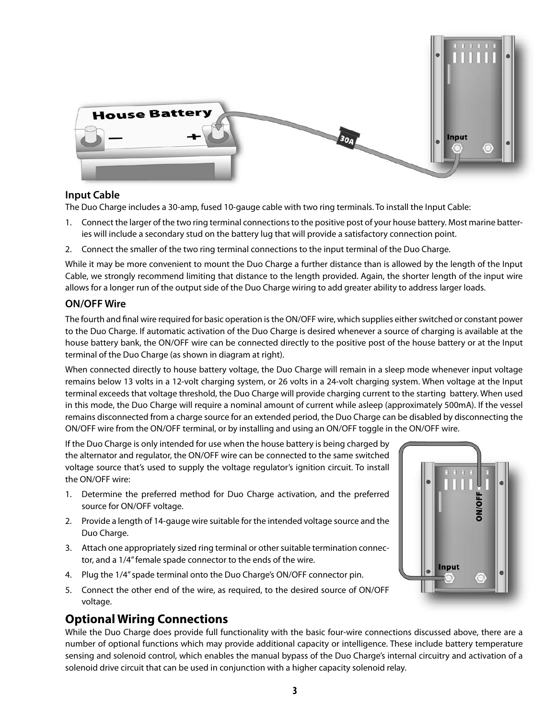

#### **Input Cable**

The Duo Charge includes a 30-amp, fused 10-gauge cable with two ring terminals. To install the Input Cable:

- 1. Connect the larger of the two ring terminal connections to the positive post of your house battery. Most marine batteries will include a secondary stud on the battery lug that will provide a satisfactory connection point.
- 2. Connect the smaller of the two ring terminal connections to the input terminal of the Duo Charge.

While it may be more convenient to mount the Duo Charge a further distance than is allowed by the length of the Input Cable, we strongly recommend limiting that distance to the length provided. Again, the shorter length of the input wire allows for a longer run of the output side of the Duo Charge wiring to add greater ability to address larger loads.

#### **ON/OFF Wire**

The fourth and final wire required for basic operation is the ON/OFF wire, which supplies either switched or constant power to the Duo Charge. If automatic activation of the Duo Charge is desired whenever a source of charging is available at the house battery bank, the ON/OFF wire can be connected directly to the positive post of the house battery or at the Input terminal of the Duo Charge (as shown in diagram at right).

When connected directly to house battery voltage, the Duo Charge will remain in a sleep mode whenever input voltage remains below 13 volts in a 12-volt charging system, or 26 volts in a 24-volt charging system. When voltage at the Input terminal exceeds that voltage threshold, the Duo Charge will provide charging current to the starting battery. When used in this mode, the Duo Charge will require a nominal amount of current while asleep (approximately 500mA). If the vessel remains disconnected from a charge source for an extended period, the Duo Charge can be disabled by disconnecting the ON/OFF wire from the ON/OFF terminal, or by installing and using an ON/OFF toggle in the ON/OFF wire.

If the Duo Charge is only intended for use when the house battery is being charged by the alternator and regulator, the ON/OFF wire can be connected to the same switched voltage source that's used to supply the voltage regulator's ignition circuit. To install the ON/OFF wire:

- 1. Determine the preferred method for Duo Charge activation, and the preferred source for ON/OFF voltage.
- 2. Provide a length of 14-gauge wire suitable for the intended voltage source and the Duo Charge.
- 3. Attach one appropriately sized ring terminal or other suitable termination connector, and a 1/4" female spade connector to the ends of the wire.
- 4. Plug the 1/4" spade terminal onto the Duo Charge's ON/OFF connector pin.
- 5. Connect the other end of the wire, as required, to the desired source of ON/OFF voltage.

# **Optional Wiring Connections**

While the Duo Charge does provide full functionality with the basic four-wire connections discussed above, there are a number of optional functions which may provide additional capacity or intelligence. These include battery temperature sensing and solenoid control, which enables the manual bypass of the Duo Charge's internal circuitry and activation of a solenoid drive circuit that can be used in conjunction with a higher capacity solenoid relay.

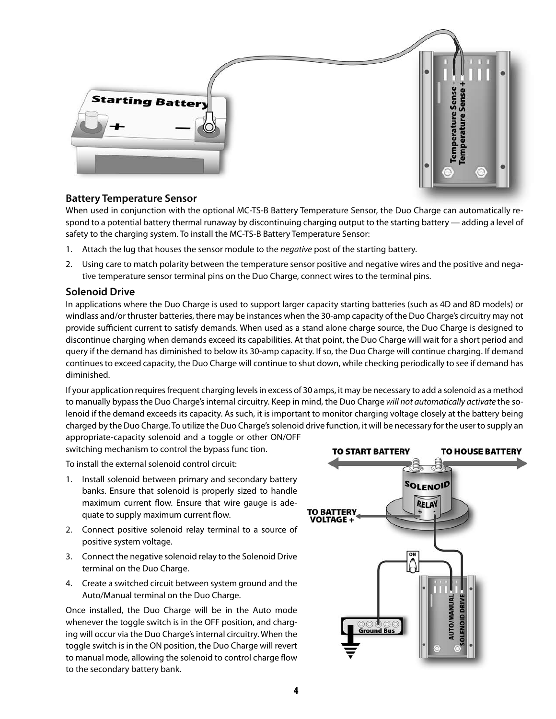

#### **Battery Temperature Sensor**

When used in conjunction with the optional MC-TS-B Battery Temperature Sensor, the Duo Charge can automatically respond to a potential battery thermal runaway by discontinuing charging output to the starting battery — adding a level of safety to the charging system. To install the MC-TS-B Battery Temperature Sensor:

- 1. Attach the lug that houses the sensor module to the *negative* post of the starting battery.
- 2. Using care to match polarity between the temperature sensor positive and negative wires and the positive and negative temperature sensor terminal pins on the Duo Charge, connect wires to the terminal pins.

#### **Solenoid Drive**

In applications where the Duo Charge is used to support larger capacity starting batteries (such as 4D and 8D models) or windlass and/or thruster batteries, there may be instances when the 30-amp capacity of the Duo Charge's circuitry may not provide sufficient current to satisfy demands. When used as a stand alone charge source, the Duo Charge is designed to discontinue charging when demands exceed its capabilities. At that point, the Duo Charge will wait for a short period and query if the demand has diminished to below its 30-amp capacity. If so, the Duo Charge will continue charging. If demand continues to exceed capacity, the Duo Charge will continue to shut down, while checking periodically to see if demand has diminished.

If your application requires frequent charging levels in excess of 30 amps, it may be necessary to add a solenoid as a method to manually bypass the Duo Charge's internal circuitry. Keep in mind, the Duo Charge *will not automatically activate* the solenoid if the demand exceeds its capacity. As such, it is important to monitor charging voltage closely at the battery being charged by the Duo Charge. To utilize the Duo Charge's solenoid drive function, it will be necessary for the user to supply an

appropriate-capacity solenoid and a toggle or other ON/OFF switching mechanism to control the bypass func tion.

To install the external solenoid control circuit:

- 1. Install solenoid between primary and secondary battery banks. Ensure that solenoid is properly sized to handle maximum current flow. Ensure that wire gauge is adequate to supply maximum current flow.
- 2. Connect positive solenoid relay terminal to a source of positive system voltage.
- 3. Connect the negative solenoid relay to the Solenoid Drive terminal on the Duo Charge.
- 4. Create a switched circuit between system ground and the Auto/Manual terminal on the Duo Charge.

Once installed, the Duo Charge will be in the Auto mode whenever the toggle switch is in the OFF position, and charging will occur via the Duo Charge's internal circuitry. When the toggle switch is in the ON position, the Duo Charge will revert to manual mode, allowing the solenoid to control charge flow to the secondary battery bank.

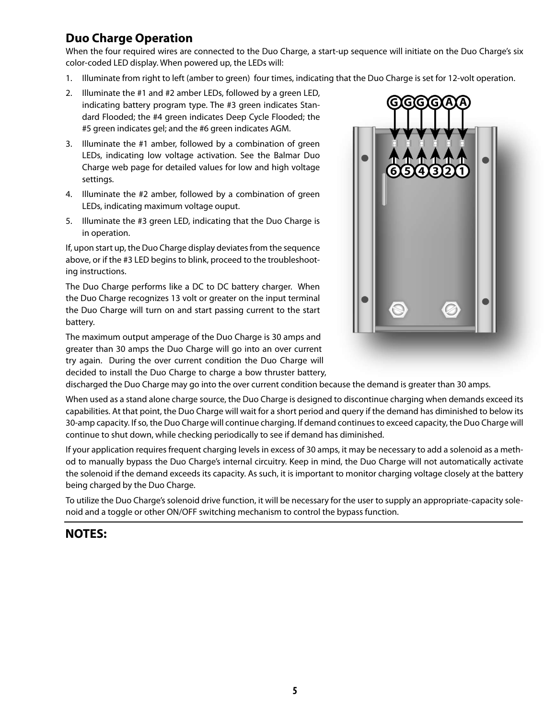# **Duo Charge Operation**

When the four required wires are connected to the Duo Charge, a start-up sequence will initiate on the Duo Charge's six color-coded LED display. When powered up, the LEDs will:

- 1. Illuminate from right to left (amber to green) four times, indicating that the Duo Charge is set for 12-volt operation.
- 2. Illuminate the #1 and #2 amber LEDs, followed by a green LED, indicating battery program type. The #3 green indicates Standard Flooded; the #4 green indicates Deep Cycle Flooded; the #5 green indicates gel; and the #6 green indicates AGM.
- 3. Illuminate the #1 amber, followed by a combination of green LEDs, indicating low voltage activation. See the Balmar Duo Charge web page for detailed values for low and high voltage settings.
- 4. Illuminate the #2 amber, followed by a combination of green LEDs, indicating maximum voltage ouput.
- 5. Illuminate the #3 green LED, indicating that the Duo Charge is in operation.

If, upon start up, the Duo Charge display deviates from the sequence above, or if the #3 LED begins to blink, proceed to the troubleshooting instructions.

The Duo Charge performs like a DC to DC battery charger. When the Duo Charge recognizes 13 volt or greater on the input terminal the Duo Charge will turn on and start passing current to the start battery.

The maximum output amperage of the Duo Charge is 30 amps and greater than 30 amps the Duo Charge will go into an over current try again. During the over current condition the Duo Charge will decided to install the Duo Charge to charge a bow thruster battery,



discharged the Duo Charge may go into the over current condition because the demand is greater than 30 amps.

When used as a stand alone charge source, the Duo Charge is designed to discontinue charging when demands exceed its capabilities. At that point, the Duo Charge will wait for a short period and query if the demand has diminished to below its 30-amp capacity. If so, the Duo Charge will continue charging. If demand continues to exceed capacity, the Duo Charge will continue to shut down, while checking periodically to see if demand has diminished.

If your application requires frequent charging levels in excess of 30 amps, it may be necessary to add a solenoid as a method to manually bypass the Duo Charge's internal circuitry. Keep in mind, the Duo Charge will not automatically activate the solenoid if the demand exceeds its capacity. As such, it is important to monitor charging voltage closely at the battery being charged by the Duo Charge.

To utilize the Duo Charge's solenoid drive function, it will be necessary for the user to supply an appropriate-capacity solenoid and a toggle or other ON/OFF switching mechanism to control the bypass function.

# **NOTES:**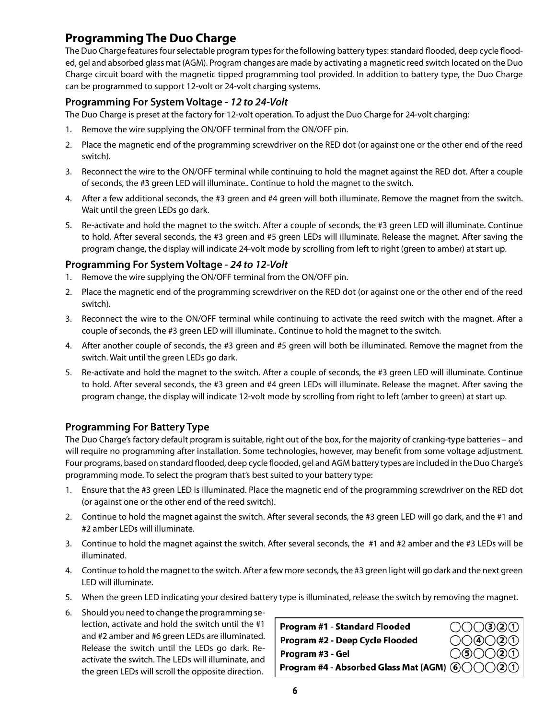# **Programming The Duo Charge**

The Duo Charge features four selectable program types for the following battery types: standard flooded, deep cycle flooded, gel and absorbed glass mat (AGM). Program changes are made by activating a magnetic reed switch located on the Duo Charge circuit board with the magnetic tipped programming tool provided. In addition to battery type, the Duo Charge can be programmed to support 12-volt or 24-volt charging systems.

#### **Programming For System Voltage -** *12 to 24-Volt*

The Duo Charge is preset at the factory for 12-volt operation. To adjust the Duo Charge for 24-volt charging:

- 1. Remove the wire supplying the ON/OFF terminal from the ON/OFF pin.
- 2. Place the magnetic end of the programming screwdriver on the RED dot (or against one or the other end of the reed switch).
- 3. Reconnect the wire to the ON/OFF terminal while continuing to hold the magnet against the RED dot. After a couple of seconds, the #3 green LED will illuminate.. Continue to hold the magnet to the switch.
- 4. After a few additional seconds, the #3 green and #4 green will both illuminate. Remove the magnet from the switch. Wait until the green LEDs go dark.
- 5. Re-activate and hold the magnet to the switch. After a couple of seconds, the #3 green LED will illuminate. Continue to hold. After several seconds, the #3 green and #5 green LEDs will illuminate. Release the magnet. After saving the program change, the display will indicate 24-volt mode by scrolling from left to right (green to amber) at start up.

#### **Programming For System Voltage -** *24 to 12-Volt*

- 1. Remove the wire supplying the ON/OFF terminal from the ON/OFF pin.
- 2. Place the magnetic end of the programming screwdriver on the RED dot (or against one or the other end of the reed switch).
- 3. Reconnect the wire to the ON/OFF terminal while continuing to activate the reed switch with the magnet. After a couple of seconds, the #3 green LED will illuminate.. Continue to hold the magnet to the switch.
- 4. After another couple of seconds, the #3 green and #5 green will both be illuminated. Remove the magnet from the switch. Wait until the green LEDs go dark.
- 5. Re-activate and hold the magnet to the switch. After a couple of seconds, the #3 green LED will illuminate. Continue to hold. After several seconds, the #3 green and #4 green LEDs will illuminate. Release the magnet. After saving the program change, the display will indicate 12-volt mode by scrolling from right to left (amber to green) at start up.

#### **Programming For Battery Type**

The Duo Charge's factory default program is suitable, right out of the box, for the majority of cranking-type batteries – and will require no programming after installation. Some technologies, however, may benefit from some voltage adjustment. Four programs, based on standard flooded, deep cycle flooded, gel and AGM battery types are included in the Duo Charge's programming mode. To select the program that's best suited to your battery type:

- 1. Ensure that the #3 green LED is illuminated. Place the magnetic end of the programming screwdriver on the RED dot (or against one or the other end of the reed switch).
- 2. Continue to hold the magnet against the switch. After several seconds, the #3 green LED will go dark, and the #1 and #2 amber LEDs will illuminate.
- 3. Continue to hold the magnet against the switch. After several seconds, the #1 and #2 amber and the #3 LEDs will be illuminated.
- 4. Continue to hold the magnet to the switch. After a few more seconds, the #3 green light will go dark and the next green LED will illuminate.
- 5. When the green LED indicating your desired battery type is illuminated, release the switch by removing the magnet.
- 6. Should you need to change the programming selection, activate and hold the switch until the #1 and #2 amber and #6 green LEDs are illuminated. Release the switch until the LEDs go dark. Reactivate the switch. The LEDs will illuminate, and the green LEDs will scroll the opposite direction.

| Program #1 - Standard Flooded                                                    | OOO320                                                            |
|----------------------------------------------------------------------------------|-------------------------------------------------------------------|
| Program #2 - Deep Cycle Flooded                                                  | $OO$ <sup><math>0</math></sup> $OO$ <sup><math>0</math></sup> $0$ |
| Program #3 - Gel                                                                 | $O$ © $O$ $O$ $0$                                                 |
| Program #4 - Absorbed Glass Mat (AGM) $\circledS\circ\circlearrowright\circledS$ |                                                                   |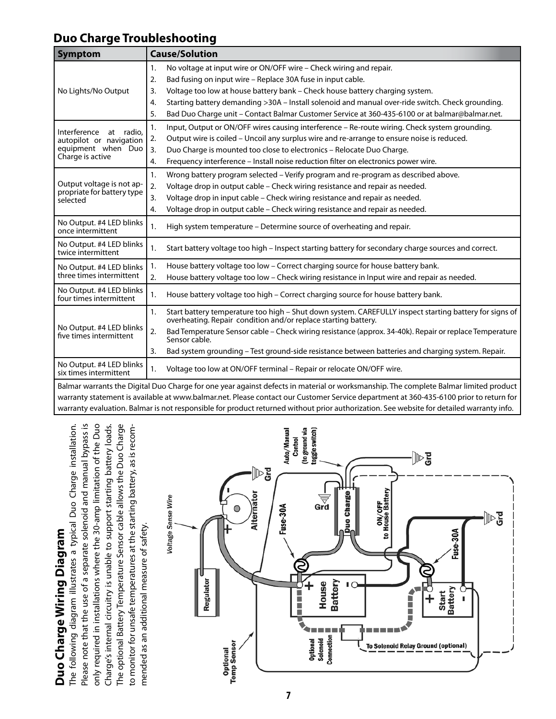# **Duo Charge Troubleshooting**

| <b>Symptom</b>                                                                              | <b>Cause/Solution</b>                                                                                                                                                          |
|---------------------------------------------------------------------------------------------|--------------------------------------------------------------------------------------------------------------------------------------------------------------------------------|
|                                                                                             | 1.<br>No voltage at input wire or ON/OFF wire - Check wiring and repair.                                                                                                       |
| No Lights/No Output                                                                         | Bad fusing on input wire - Replace 30A fuse in input cable.<br>2.                                                                                                              |
|                                                                                             | Voltage too low at house battery bank - Check house battery charging system.<br>3.                                                                                             |
|                                                                                             | Starting battery demanding >30A - Install solenoid and manual over-ride switch. Check grounding.<br>4.                                                                         |
|                                                                                             | Bad Duo Charge unit - Contact Balmar Customer Service at 360-435-6100 or at balmar@balmar.net.<br>5.                                                                           |
| Interference at radio,<br>autopilot or navigation<br>equipment when Duo<br>Charge is active | Input, Output or ON/OFF wires causing interference - Re-route wiring. Check system grounding.<br>1.                                                                            |
|                                                                                             | Output wire is coiled - Uncoil any surplus wire and re-arrange to ensure noise is reduced.<br>2.                                                                               |
|                                                                                             | Duo Charge is mounted too close to electronics - Relocate Duo Charge.<br>3.                                                                                                    |
|                                                                                             | Frequency interference - Install noise reduction filter on electronics power wire.<br>4.                                                                                       |
| Output voltage is not ap-<br>propriate for battery type<br>selected                         | Wrong battery program selected - Verify program and re-program as described above.<br>1.                                                                                       |
|                                                                                             | 2.<br>Voltage drop in output cable - Check wiring resistance and repair as needed.                                                                                             |
|                                                                                             | Voltage drop in input cable - Check wiring resistance and repair as needed.<br>3.                                                                                              |
|                                                                                             | Voltage drop in output cable - Check wiring resistance and repair as needed.<br>4.                                                                                             |
| No Output. #4 LED blinks<br>once intermittent                                               | 1.<br>High system temperature – Determine source of overheating and repair.                                                                                                    |
| No Output. #4 LED blinks<br>twice intermittent                                              | Start battery voltage too high - Inspect starting battery for secondary charge sources and correct.<br>1.                                                                      |
| No Output. #4 LED blinks<br>three times intermittent                                        | House battery voltage too low - Correct charging source for house battery bank.<br>1.                                                                                          |
|                                                                                             | House battery voltage too low - Check wiring resistance in Input wire and repair as needed.<br>2.                                                                              |
| No Output. #4 LED blinks<br>four times intermittent                                         | House battery voltage too high – Correct charging source for house battery bank.<br>1.                                                                                         |
| No Output. #4 LED blinks<br>five times intermittent                                         | Start battery temperature too high - Shut down system. CAREFULLY inspect starting battery for signs of<br>1.<br>overheating. Repair condition and/or replace starting battery. |
|                                                                                             | Bad Temperature Sensor cable - Check wiring resistance (approx. 34-40k). Repair or replace Temperature<br>2.<br>Sensor cable.                                                  |
|                                                                                             | Bad system grounding - Test ground-side resistance between batteries and charging system. Repair.<br>3.                                                                        |
| No Output. #4 LED blinks<br>six times intermittent                                          | Voltage too low at ON/OFF terminal - Repair or relocate ON/OFF wire.<br>1.                                                                                                     |
|                                                                                             | Balmar warrants the Digital Duo Charge for one year against defects in material or worksmanship. The complete Balmar limited product                                           |
|                                                                                             | warranty statement is available at www.balmar.net. Please contact our Customer Service department at 360-435-6100 prior to return for                                          |
|                                                                                             | warranty evaluation. Balmar is not responsible for product returned without prior authorization. See website for detailed warranty info.                                       |

The following diagram illustrates a typical Duo Charge installation. Please note that the use of a separate solenoid and manual bypass is Please note that the use of a separate solenoid and manual bypass is only required in installations where the 30-amp limitation of the Duo Charge's internal circuitry is unable to support starting battery loads. The optional Battery Temperature Sensor cable allows the Duo Charge The optional Battery Temperature Sensor cable allows the Duo Charge The following diagram illustrates a typical Duo Charge installation. only required in installations where the 30-amp limitation of the Duo to monitor for unsafe temperatures at the starting battery, as is recom-Charge's internal circuitry is unable to support starting battery loads. to monitor for unsafe temperatures at the starting battery, as is recommended as an additional measure of safety. mended as an additional measure of safety. Duo Charge Wiring Diagram **Duo Charge Wiring Diagram**